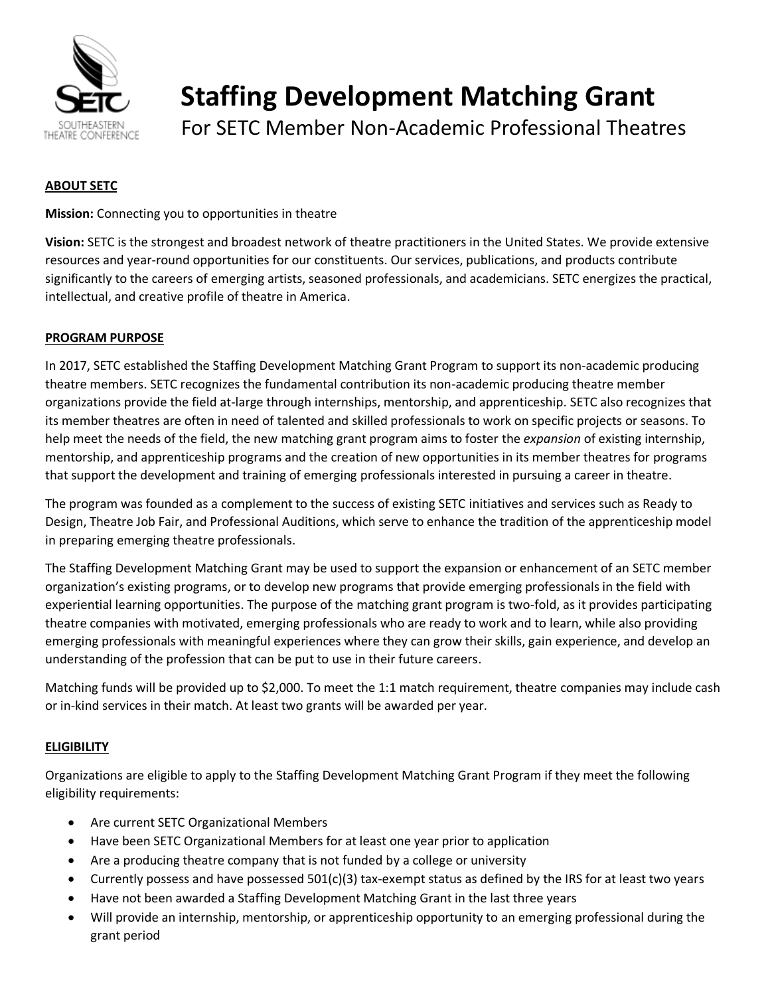

# **Staffing Development Matching Grant**

For SETC Member Non-Academic Professional Theatres

# **ABOUT SETC**

**Mission:** Connecting you to opportunities in theatre

**Vision:** SETC is the strongest and broadest network of theatre practitioners in the United States. We provide extensive resources and year‐round opportunities for our constituents. Our services, publications, and products contribute significantly to the careers of emerging artists, seasoned professionals, and academicians. SETC energizes the practical, intellectual, and creative profile of theatre in America.

# **PROGRAM PURPOSE**

In 2017, SETC established the Staffing Development Matching Grant Program to support its non-academic producing theatre members. SETC recognizes the fundamental contribution its non-academic producing theatre member organizations provide the field at-large through internships, mentorship, and apprenticeship. SETC also recognizes that its member theatres are often in need of talented and skilled professionals to work on specific projects or seasons. To help meet the needs of the field, the new matching grant program aims to foster the *expansion* of existing internship, mentorship, and apprenticeship programs and the creation of new opportunities in its member theatres for programs that support the development and training of emerging professionals interested in pursuing a career in theatre.

The program was founded as a complement to the success of existing SETC initiatives and services such as Ready to Design, Theatre Job Fair, and Professional Auditions, which serve to enhance the tradition of the apprenticeship model in preparing emerging theatre professionals.

The Staffing Development Matching Grant may be used to support the expansion or enhancement of an SETC member organization's existing programs, or to develop new programs that provide emerging professionals in the field with experiential learning opportunities. The purpose of the matching grant program is two-fold, as it provides participating theatre companies with motivated, emerging professionals who are ready to work and to learn, while also providing emerging professionals with meaningful experiences where they can grow their skills, gain experience, and develop an understanding of the profession that can be put to use in their future careers.

Matching funds will be provided up to \$2,000. To meet the 1:1 match requirement, theatre companies may include cash or in-kind services in their match. At least two grants will be awarded per year.

# **ELIGIBILITY**

Organizations are eligible to apply to the Staffing Development Matching Grant Program if they meet the following eligibility requirements:

- Are current SETC Organizational Members
- Have been SETC Organizational Members for at least one year prior to application
- Are a producing theatre company that is not funded by a college or university
- Currently possess and have possessed  $501(c)(3)$  tax-exempt status as defined by the IRS for at least two years
- Have not been awarded a Staffing Development Matching Grant in the last three years
- Will provide an internship, mentorship, or apprenticeship opportunity to an emerging professional during the grant period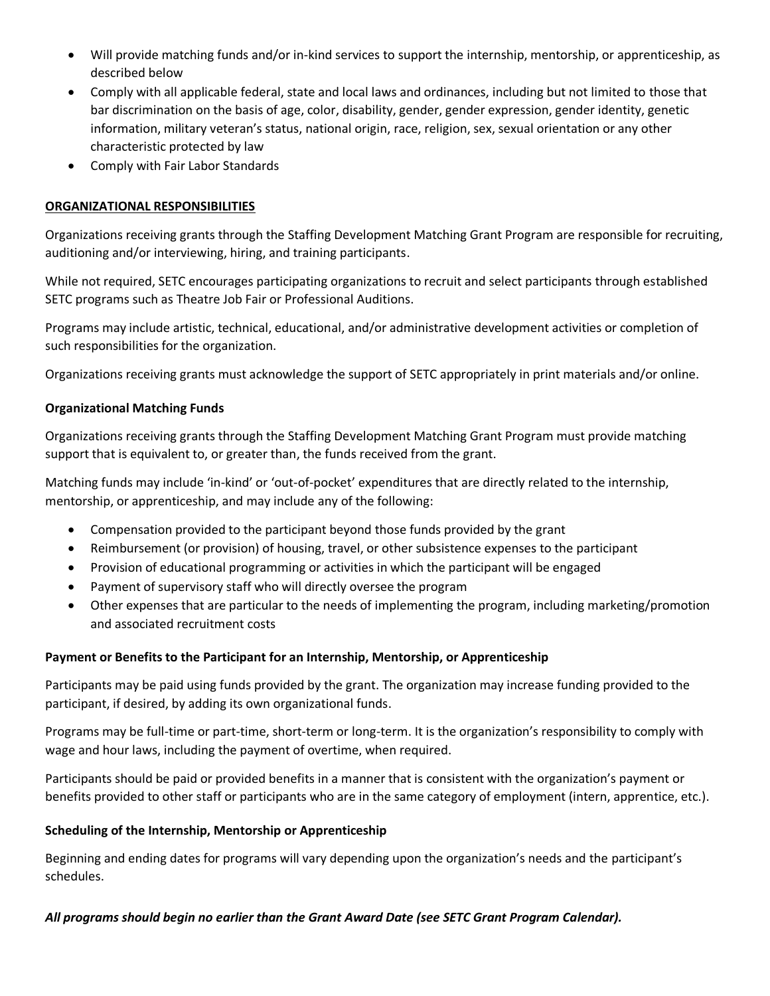- Will provide matching funds and/or in-kind services to support the internship, mentorship, or apprenticeship, as described below
- Comply with all applicable federal, state and local laws and ordinances, including but not limited to those that bar discrimination on the basis of age, color, disability, gender, gender expression, gender identity, genetic information, military veteran's status, national origin, race, religion, sex, sexual orientation or any other characteristic protected by law
- Comply with Fair Labor Standards

# **ORGANIZATIONAL RESPONSIBILITIES**

Organizations receiving grants through the Staffing Development Matching Grant Program are responsible for recruiting, auditioning and/or interviewing, hiring, and training participants.

While not required, SETC encourages participating organizations to recruit and select participants through established SETC programs such as Theatre Job Fair or Professional Auditions.

Programs may include artistic, technical, educational, and/or administrative development activities or completion of such responsibilities for the organization.

Organizations receiving grants must acknowledge the support of SETC appropriately in print materials and/or online.

### **Organizational Matching Funds**

Organizations receiving grants through the Staffing Development Matching Grant Program must provide matching support that is equivalent to, or greater than, the funds received from the grant.

Matching funds may include 'in-kind' or 'out-of-pocket' expenditures that are directly related to the internship, mentorship, or apprenticeship, and may include any of the following:

- Compensation provided to the participant beyond those funds provided by the grant
- Reimbursement (or provision) of housing, travel, or other subsistence expenses to the participant
- Provision of educational programming or activities in which the participant will be engaged
- Payment of supervisory staff who will directly oversee the program
- Other expenses that are particular to the needs of implementing the program, including marketing/promotion and associated recruitment costs

### **Payment or Benefits to the Participant for an Internship, Mentorship, or Apprenticeship**

Participants may be paid using funds provided by the grant. The organization may increase funding provided to the participant, if desired, by adding its own organizational funds.

Programs may be full-time or part-time, short-term or long-term. It is the organization's responsibility to comply with wage and hour laws, including the payment of overtime, when required.

Participants should be paid or provided benefits in a manner that is consistent with the organization's payment or benefits provided to other staff or participants who are in the same category of employment (intern, apprentice, etc.).

### **Scheduling of the Internship, Mentorship or Apprenticeship**

Beginning and ending dates for programs will vary depending upon the organization's needs and the participant's schedules.

### *All programs should begin no earlier than the Grant Award Date (see SETC Grant Program Calendar).*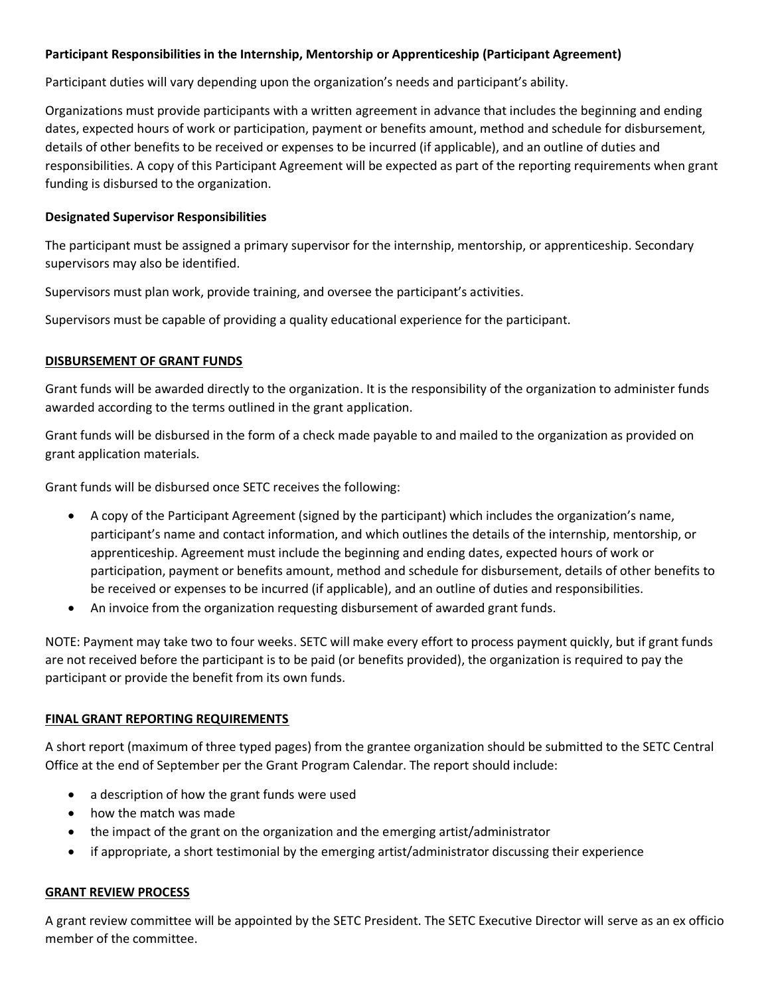# **Participant Responsibilities in the Internship, Mentorship or Apprenticeship (Participant Agreement)**

Participant duties will vary depending upon the organization's needs and participant's ability.

Organizations must provide participants with a written agreement in advance that includes the beginning and ending dates, expected hours of work or participation, payment or benefits amount, method and schedule for disbursement, details of other benefits to be received or expenses to be incurred (if applicable), and an outline of duties and responsibilities. A copy of this Participant Agreement will be expected as part of the reporting requirements when grant funding is disbursed to the organization.

# **Designated Supervisor Responsibilities**

The participant must be assigned a primary supervisor for the internship, mentorship, or apprenticeship. Secondary supervisors may also be identified.

Supervisors must plan work, provide training, and oversee the participant's activities.

Supervisors must be capable of providing a quality educational experience for the participant.

### **DISBURSEMENT OF GRANT FUNDS**

Grant funds will be awarded directly to the organization. It is the responsibility of the organization to administer funds awarded according to the terms outlined in the grant application.

Grant funds will be disbursed in the form of a check made payable to and mailed to the organization as provided on grant application materials.

Grant funds will be disbursed once SETC receives the following:

- A copy of the Participant Agreement (signed by the participant) which includes the organization's name, participant's name and contact information, and which outlines the details of the internship, mentorship, or apprenticeship. Agreement must include the beginning and ending dates, expected hours of work or participation, payment or benefits amount, method and schedule for disbursement, details of other benefits to be received or expenses to be incurred (if applicable), and an outline of duties and responsibilities.
- An invoice from the organization requesting disbursement of awarded grant funds.

NOTE: Payment may take two to four weeks. SETC will make every effort to process payment quickly, but if grant funds are not received before the participant is to be paid (or benefits provided), the organization is required to pay the participant or provide the benefit from its own funds.

### **FINAL GRANT REPORTING REQUIREMENTS**

A short report (maximum of three typed pages) from the grantee organization should be submitted to the SETC Central Office at the end of September per the Grant Program Calendar. The report should include:

- a description of how the grant funds were used
- how the match was made
- the impact of the grant on the organization and the emerging artist/administrator
- if appropriate, a short testimonial by the emerging artist/administrator discussing their experience

### **GRANT REVIEW PROCESS**

A grant review committee will be appointed by the SETC President. The SETC Executive Director will serve as an ex officio member of the committee.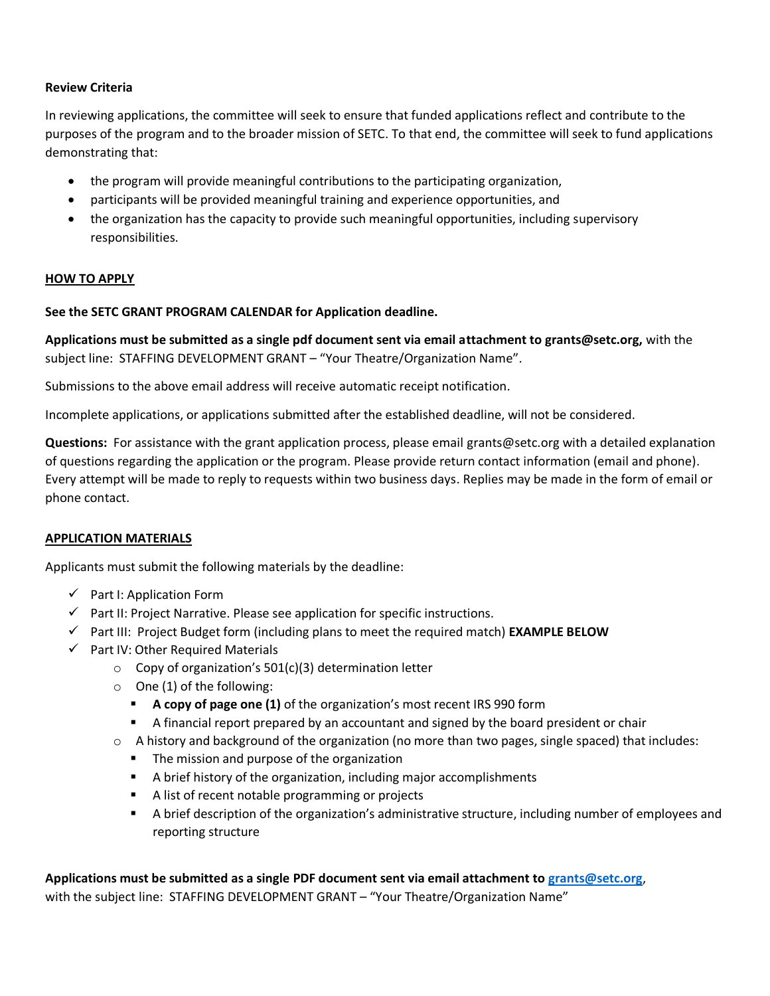# **Review Criteria**

In reviewing applications, the committee will seek to ensure that funded applications reflect and contribute to the purposes of the program and to the broader mission of SETC. To that end, the committee will seek to fund applications demonstrating that:

- the program will provide meaningful contributions to the participating organization,
- participants will be provided meaningful training and experience opportunities, and
- the organization has the capacity to provide such meaningful opportunities, including supervisory responsibilities.

# **HOW TO APPLY**

# **See the SETC GRANT PROGRAM CALENDAR for Application deadline.**

**Applications must be submitted as a single pdf document sent via email attachment to grants@setc.org,** with the subject line: STAFFING DEVELOPMENT GRANT – "Your Theatre/Organization Name".

Submissions to the above email address will receive automatic receipt notification.

Incomplete applications, or applications submitted after the established deadline, will not be considered.

**Questions:** For assistance with the grant application process, please email grants@setc.org with a detailed explanation of questions regarding the application or the program. Please provide return contact information (email and phone). Every attempt will be made to reply to requests within two business days. Replies may be made in the form of email or phone contact.

### **APPLICATION MATERIALS**

Applicants must submit the following materials by the deadline:

- $\checkmark$  Part I: Application Form
- $\checkmark$  Part II: Project Narrative. Please see application for specific instructions.
- $\checkmark$  Part III: Project Budget form (including plans to meet the required match) **EXAMPLE BELOW**
- $\checkmark$  Part IV: Other Required Materials
	- o Copy of organization's 501(c)(3) determination letter
	- $\circ$  One (1) of the following:
		- **A copy of page one (1)** of the organization's most recent IRS 990 form
		- A financial report prepared by an accountant and signed by the board president or chair
	- $\circ$  A history and background of the organization (no more than two pages, single spaced) that includes:
		- The mission and purpose of the organization
		- A brief history of the organization, including major accomplishments
		- A list of recent notable programming or projects
		- A brief description of the organization's administrative structure, including number of employees and reporting structure

# **Applications must be submitted as a single PDF document sent via email attachment to [grants@setc.org](mailto:grants@setc.org)**, with the subject line: STAFFING DEVELOPMENT GRANT – "Your Theatre/Organization Name"